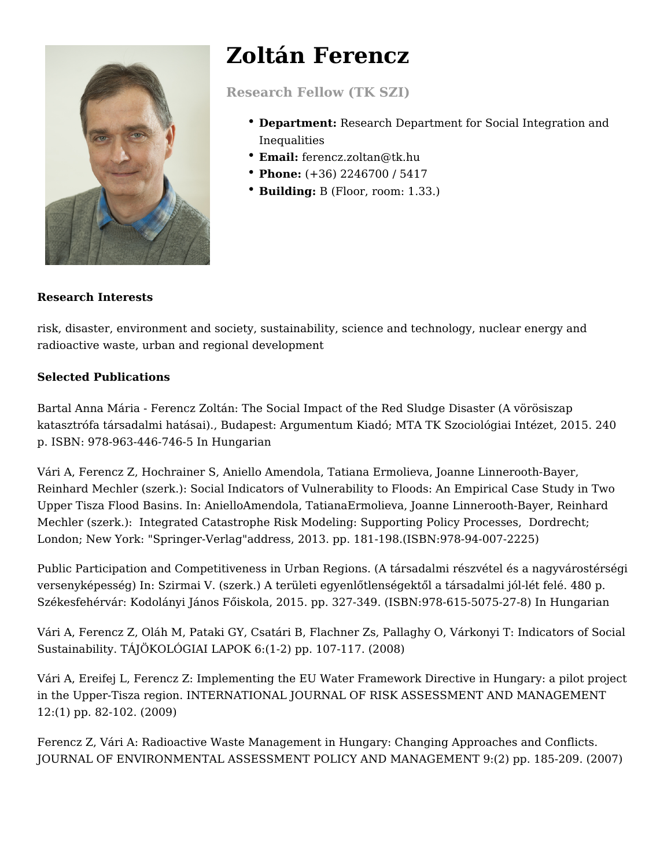

# **Zoltán Ferencz**

**Research Fellow (TK SZI)**

- **Department:** Research Department for Social Integration and Inequalities
- **Email:** ferencz.zoltan@tk.hu
- **Phone:** (+36) 2246700 / 5417
- **Building:** B (Floor, room: 1.33.)

# **Research Interests**

risk, disaster, environment and society, sustainability, science and technology, nuclear energy and radioactive waste, urban and regional development

# **Selected Publications**

Bartal Anna Mária - Ferencz Zoltán: The Social Impact of the Red Sludge Disaster (A vörösiszap katasztrófa társadalmi hatásai)., Budapest: Argumentum Kiadó; MTA TK Szociológiai Intézet, 2015. 240 p. ISBN: 978-963-446-746-5 In Hungarian

Vári A, Ferencz Z, Hochrainer S, Aniello Amendola, Tatiana Ermolieva, Joanne Linnerooth-Bayer, Reinhard Mechler (szerk.): Social Indicators of Vulnerability to Floods: An Empirical Case Study in Two Upper Tisza Flood Basins. In: AnielloAmendola, TatianaErmolieva, Joanne Linnerooth-Bayer, Reinhard Mechler (szerk.): Integrated Catastrophe Risk Modeling: Supporting Policy Processes, Dordrecht; London; New York: "Springer-Verlag"address, 2013. pp. 181-198.(ISBN:978-94-007-2225)

Public Participation and Competitiveness in Urban Regions. (A társadalmi részvétel és a nagyvárostérségi versenyképesség) In: Szirmai V. (szerk.) A területi egyenlőtlenségektől a társadalmi jól-lét felé. 480 p. Székesfehérvár: Kodolányi János Főiskola, 2015. pp. 327-349. (ISBN:978-615-5075-27-8) In Hungarian

Vári A, Ferencz Z, Oláh M, Pataki GY, Csatári B, Flachner Zs, Pallaghy O, Várkonyi T: Indicators of Social Sustainability. TÁJÖKOLÓGIAI LAPOK 6:(1-2) pp. 107-117. (2008)

Vári A, Ereifej L, Ferencz Z: Implementing the EU Water Framework Directive in Hungary: a pilot project in the Upper-Tisza region. INTERNATIONAL JOURNAL OF RISK ASSESSMENT AND MANAGEMENT 12:(1) pp. 82-102. (2009)

Ferencz Z, Vári A: Radioactive Waste Management in Hungary: Changing Approaches and Conflicts. JOURNAL OF ENVIRONMENTAL ASSESSMENT POLICY AND MANAGEMENT 9:(2) pp. 185-209. (2007)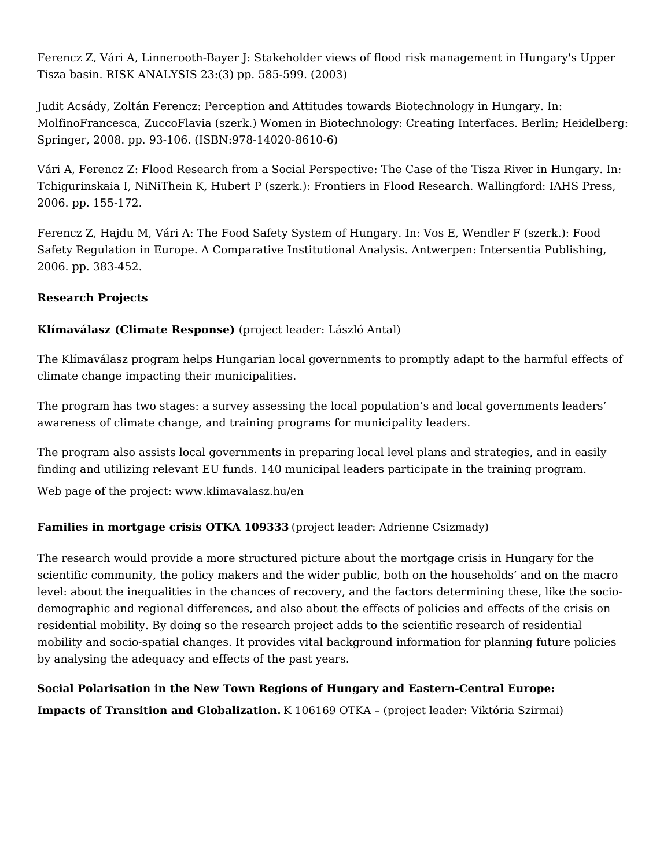Ferencz Z, Vári A, Linnerooth-Bayer J: Stakeholder views of flood risk management in Hungary's Upper Tisza basin. RISK ANALYSIS 23:(3) pp. 585-599. (2003)

Judit Acsády, Zoltán Ferencz: Perception and Attitudes towards Biotechnology in Hungary. In: MolfinoFrancesca, ZuccoFlavia (szerk.) Women in Biotechnology: Creating Interfaces. Berlin; Heidelberg: Springer, 2008. pp. 93-106. (ISBN:978-14020-8610-6)

Vári A, Ferencz Z: Flood Research from a Social Perspective: The Case of the Tisza River in Hungary. In: Tchigurinskaia I, NiNiThein K, Hubert P (szerk.): Frontiers in Flood Research. Wallingford: IAHS Press, 2006. pp. 155-172.

Ferencz Z, Hajdu M, Vári A: The Food Safety System of Hungary. In: Vos E, Wendler F (szerk.): Food Safety Regulation in Europe. A Comparative Institutional Analysis. Antwerpen: Intersentia Publishing, 2006. pp. 383-452.

# **Research Projects**

# **Klímaválasz (Climate Response)** (project leader: László Antal)

The Klímaválasz program helps Hungarian local governments to promptly adapt to the harmful effects of climate change impacting their municipalities.

The program has two stages: a survey assessing the local population's and local governments leaders' awareness of climate change, and training programs for municipality leaders.

The program also assists local governments in preparing local level plans and strategies, and in easily finding and utilizing relevant EU funds. 140 municipal leaders participate in the training program.

Web page of the project: www.klimavalasz.hu/en

#### **Families in mortgage crisis OTKA 109333** (project leader: Adrienne Csizmady)

The research would provide a more structured picture about the mortgage crisis in Hungary for the scientific community, the policy makers and the wider public, both on the households' and on the macro level: about the inequalities in the chances of recovery, and the factors determining these, like the sociodemographic and regional differences, and also about the effects of policies and effects of the crisis on residential mobility. By doing so the research project adds to the scientific research of residential mobility and socio-spatial changes. It provides vital background information for planning future policies by analysing the adequacy and effects of the past years.

# **Social Polarisation in the New Town Regions of Hungary and Eastern-Central Europe: Impacts of Transition and Globalization.** K 106169 OTKA – (project leader: Viktória Szirmai)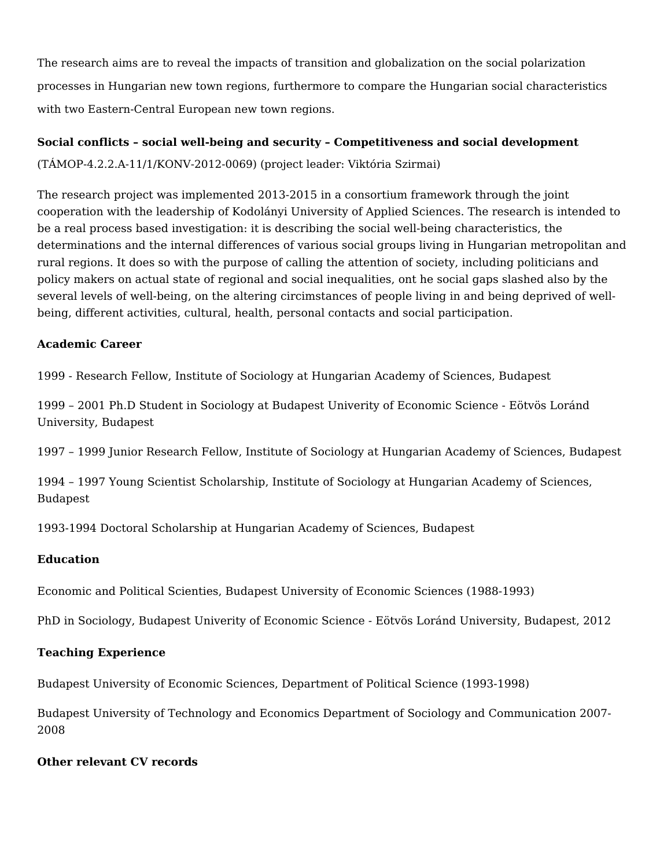The research aims are to reveal the impacts of transition and globalization on the social polarization processes in Hungarian new town regions, furthermore to compare the Hungarian social characteristics with two Eastern-Central European new town regions.

#### **Social conflicts – social well-being and security – Competitiveness and social development**

(TÁMOP-4.2.2.A-11/1/KONV-2012-0069) (project leader: Viktória Szirmai)

The research project was implemented 2013-2015 in a consortium framework through the joint cooperation with the leadership of Kodolányi University of Applied Sciences. The research is intended to be a real process based investigation: it is describing the social well-being characteristics, the determinations and the internal differences of various social groups living in Hungarian metropolitan and rural regions. It does so with the purpose of calling the attention of society, including politicians and policy makers on actual state of regional and social inequalities, ont he social gaps slashed also by the several levels of well-being, on the altering circimstances of people living in and being deprived of wellbeing, different activities, cultural, health, personal contacts and social participation.

#### **Academic Career**

1999 - Research Fellow, Institute of Sociology at Hungarian Academy of Sciences, Budapest

1999 – 2001 Ph.D Student in Sociology at Budapest Univerity of Economic Science - Eötvös Loránd University, Budapest

1997 – 1999 Junior Research Fellow, Institute of Sociology at Hungarian Academy of Sciences, Budapest

1994 – 1997 Young Scientist Scholarship, Institute of Sociology at Hungarian Academy of Sciences, Budapest

1993-1994 Doctoral Scholarship at Hungarian Academy of Sciences, Budapest

#### **Education**

Economic and Political Scienties, Budapest University of Economic Sciences (1988-1993)

PhD in Sociology, Budapest Univerity of Economic Science - Eötvös Loránd University, Budapest, 2012

#### **Teaching Experience**

Budapest University of Economic Sciences, Department of Political Science (1993-1998)

Budapest University of Technology and Economics Department of Sociology and Communication 2007- 2008

#### **Other relevant CV records**